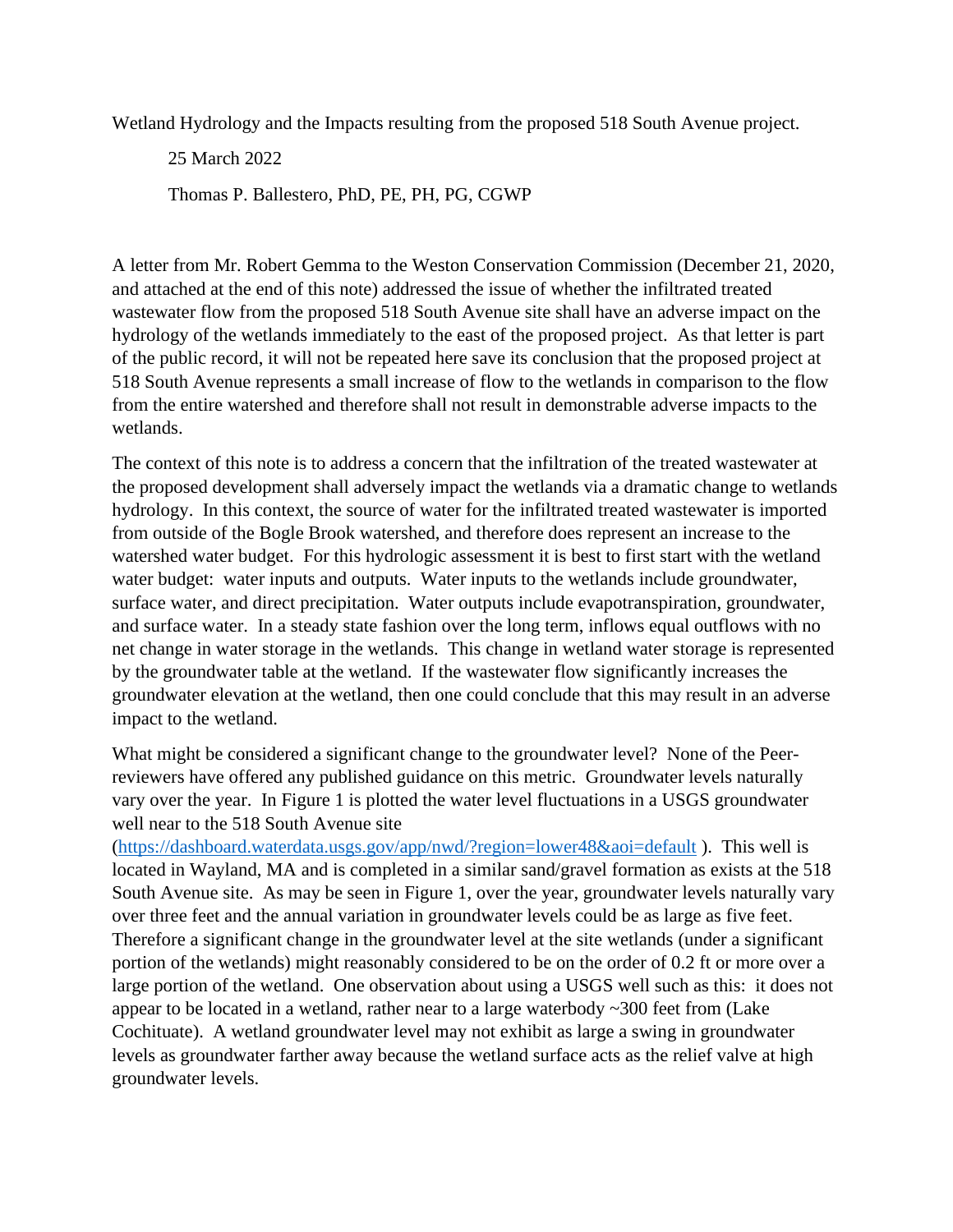Wetland Hydrology and the Impacts resulting from the proposed 518 South Avenue project.

25 March 2022

Thomas P. Ballestero, PhD, PE, PH, PG, CGWP

A letter from Mr. Robert Gemma to the Weston Conservation Commission (December 21, 2020, and attached at the end of this note) addressed the issue of whether the infiltrated treated wastewater flow from the proposed 518 South Avenue site shall have an adverse impact on the hydrology of the wetlands immediately to the east of the proposed project. As that letter is part of the public record, it will not be repeated here save its conclusion that the proposed project at 518 South Avenue represents a small increase of flow to the wetlands in comparison to the flow from the entire watershed and therefore shall not result in demonstrable adverse impacts to the wetlands.

The context of this note is to address a concern that the infiltration of the treated wastewater at the proposed development shall adversely impact the wetlands via a dramatic change to wetlands hydrology. In this context, the source of water for the infiltrated treated wastewater is imported from outside of the Bogle Brook watershed, and therefore does represent an increase to the watershed water budget. For this hydrologic assessment it is best to first start with the wetland water budget: water inputs and outputs. Water inputs to the wetlands include groundwater, surface water, and direct precipitation. Water outputs include evapotranspiration, groundwater, and surface water. In a steady state fashion over the long term, inflows equal outflows with no net change in water storage in the wetlands. This change in wetland water storage is represented by the groundwater table at the wetland. If the wastewater flow significantly increases the groundwater elevation at the wetland, then one could conclude that this may result in an adverse impact to the wetland.

What might be considered a significant change to the groundwater level? None of the Peerreviewers have offered any published guidance on this metric. Groundwater levels naturally vary over the year. In Figure 1 is plotted the water level fluctuations in a USGS groundwater well near to the 518 South Avenue site

[\(https://dashboard.waterdata.usgs.gov/app/nwd/?region=lower48&aoi=default](https://dashboard.waterdata.usgs.gov/app/nwd/?region=lower48&aoi=default) ). This well is located in Wayland, MA and is completed in a similar sand/gravel formation as exists at the 518 South Avenue site. As may be seen in Figure 1, over the year, groundwater levels naturally vary over three feet and the annual variation in groundwater levels could be as large as five feet. Therefore a significant change in the groundwater level at the site wetlands (under a significant portion of the wetlands) might reasonably considered to be on the order of 0.2 ft or more over a large portion of the wetland. One observation about using a USGS well such as this: it does not appear to be located in a wetland, rather near to a large waterbody ~300 feet from (Lake Cochituate). A wetland groundwater level may not exhibit as large a swing in groundwater levels as groundwater farther away because the wetland surface acts as the relief valve at high groundwater levels.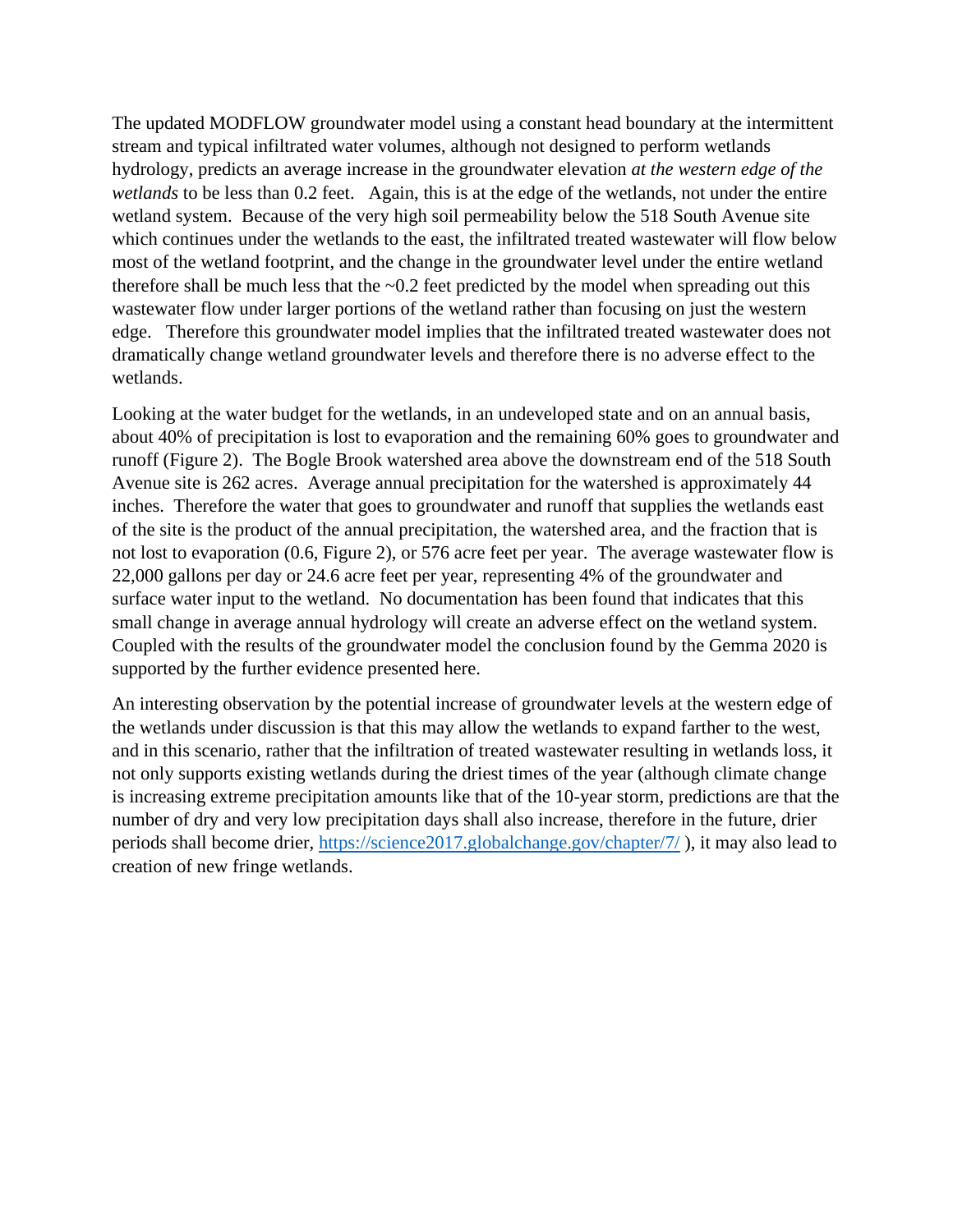The updated MODFLOW groundwater model using a constant head boundary at the intermittent stream and typical infiltrated water volumes, although not designed to perform wetlands hydrology, predicts an average increase in the groundwater elevation *at the western edge of the wetlands* to be less than 0.2 feet. Again, this is at the edge of the wetlands, not under the entire wetland system. Because of the very high soil permeability below the 518 South Avenue site which continues under the wetlands to the east, the infiltrated treated wastewater will flow below most of the wetland footprint, and the change in the groundwater level under the entire wetland therefore shall be much less that the  $\sim 0.2$  feet predicted by the model when spreading out this wastewater flow under larger portions of the wetland rather than focusing on just the western edge. Therefore this groundwater model implies that the infiltrated treated wastewater does not dramatically change wetland groundwater levels and therefore there is no adverse effect to the wetlands.

Looking at the water budget for the wetlands, in an undeveloped state and on an annual basis, about 40% of precipitation is lost to evaporation and the remaining 60% goes to groundwater and runoff (Figure 2). The Bogle Brook watershed area above the downstream end of the 518 South Avenue site is 262 acres. Average annual precipitation for the watershed is approximately 44 inches. Therefore the water that goes to groundwater and runoff that supplies the wetlands east of the site is the product of the annual precipitation, the watershed area, and the fraction that is not lost to evaporation (0.6, Figure 2), or 576 acre feet per year. The average wastewater flow is 22,000 gallons per day or 24.6 acre feet per year, representing 4% of the groundwater and surface water input to the wetland. No documentation has been found that indicates that this small change in average annual hydrology will create an adverse effect on the wetland system. Coupled with the results of the groundwater model the conclusion found by the Gemma 2020 is supported by the further evidence presented here.

An interesting observation by the potential increase of groundwater levels at the western edge of the wetlands under discussion is that this may allow the wetlands to expand farther to the west, and in this scenario, rather that the infiltration of treated wastewater resulting in wetlands loss, it not only supports existing wetlands during the driest times of the year (although climate change is increasing extreme precipitation amounts like that of the 10-year storm, predictions are that the number of dry and very low precipitation days shall also increase, therefore in the future, drier periods shall become drier,<https://science2017.globalchange.gov/chapter/7/> ), it may also lead to creation of new fringe wetlands.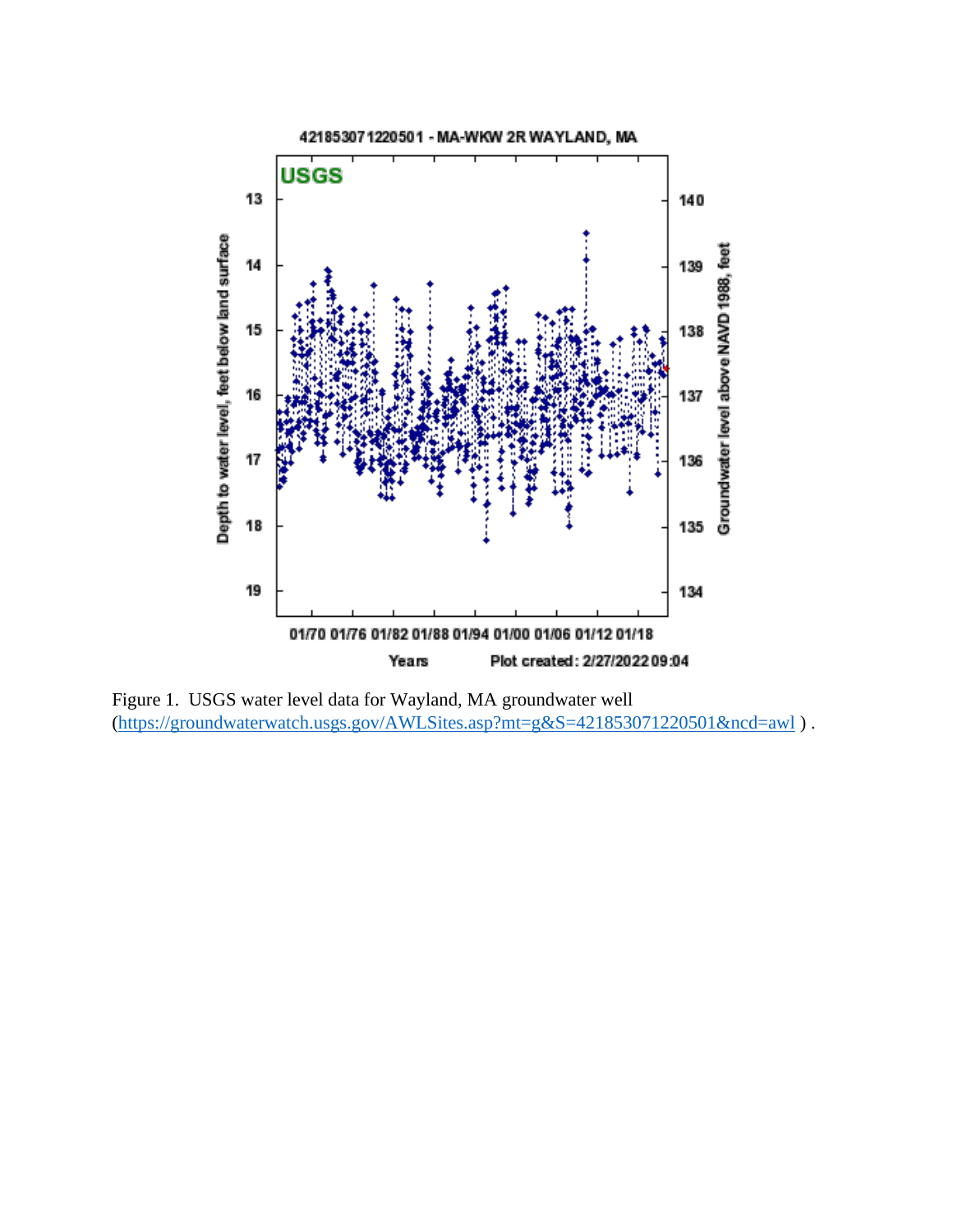

Figure 1. USGS water level data for Wayland, MA groundwater well [\(https://groundwaterwatch.usgs.gov/AWLSites.asp?mt=g&S=421853071220501&ncd=awl](https://groundwaterwatch.usgs.gov/AWLSites.asp?mt=g&S=421853071220501&ncd=awl) ) .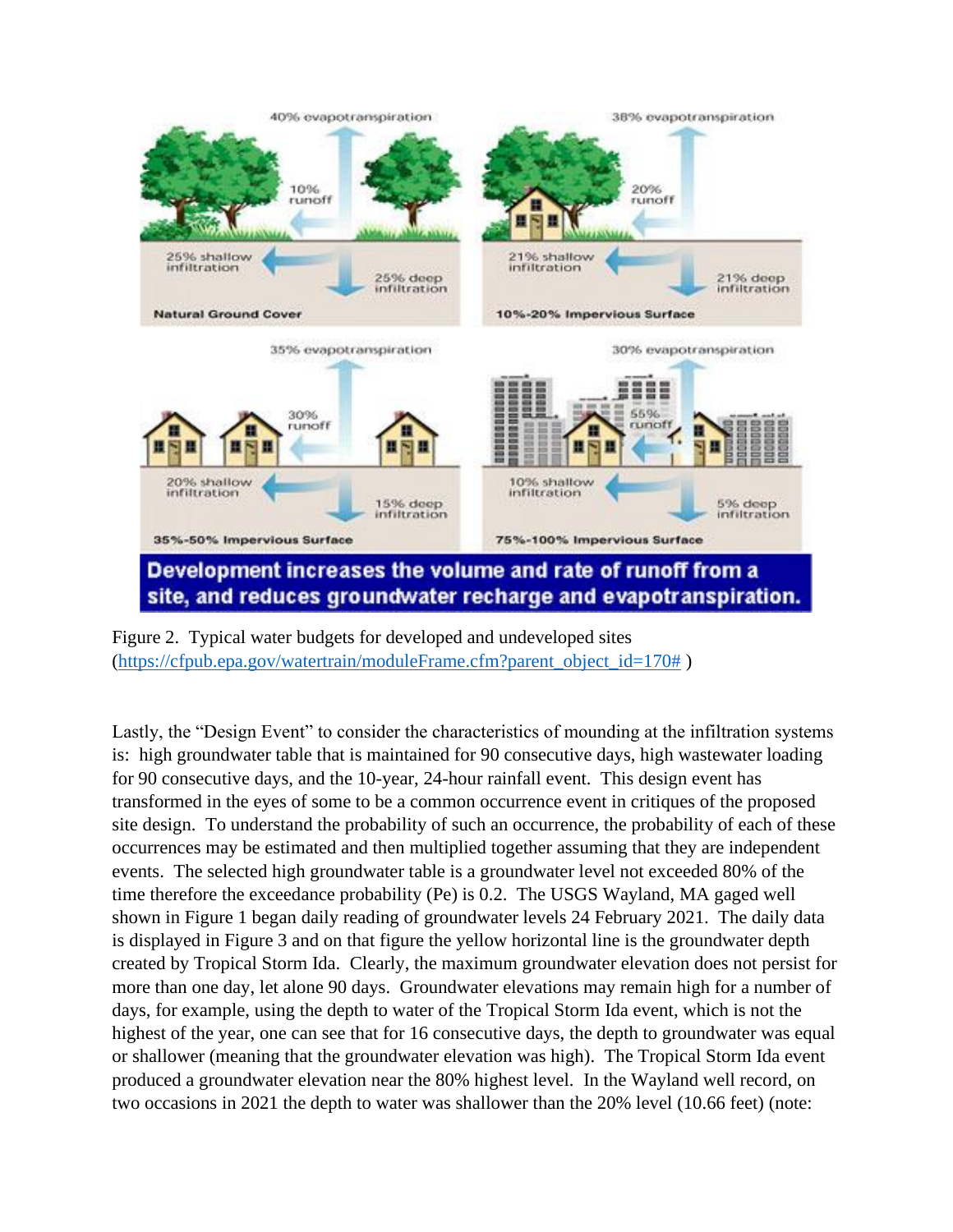

Figure 2. Typical water budgets for developed and undeveloped sites [\(https://cfpub.epa.gov/watertrain/moduleFrame.cfm?parent\\_object\\_id=170#](https://cfpub.epa.gov/watertrain/moduleFrame.cfm?parent_object_id=170))

Lastly, the "Design Event" to consider the characteristics of mounding at the infiltration systems is: high groundwater table that is maintained for 90 consecutive days, high wastewater loading for 90 consecutive days, and the 10-year, 24-hour rainfall event. This design event has transformed in the eyes of some to be a common occurrence event in critiques of the proposed site design. To understand the probability of such an occurrence, the probability of each of these occurrences may be estimated and then multiplied together assuming that they are independent events. The selected high groundwater table is a groundwater level not exceeded 80% of the time therefore the exceedance probability (Pe) is 0.2. The USGS Wayland, MA gaged well shown in Figure 1 began daily reading of groundwater levels 24 February 2021. The daily data is displayed in Figure 3 and on that figure the yellow horizontal line is the groundwater depth created by Tropical Storm Ida. Clearly, the maximum groundwater elevation does not persist for more than one day, let alone 90 days. Groundwater elevations may remain high for a number of days, for example, using the depth to water of the Tropical Storm Ida event, which is not the highest of the year, one can see that for 16 consecutive days, the depth to groundwater was equal or shallower (meaning that the groundwater elevation was high). The Tropical Storm Ida event produced a groundwater elevation near the 80% highest level. In the Wayland well record, on two occasions in 2021 the depth to water was shallower than the 20% level (10.66 feet) (note: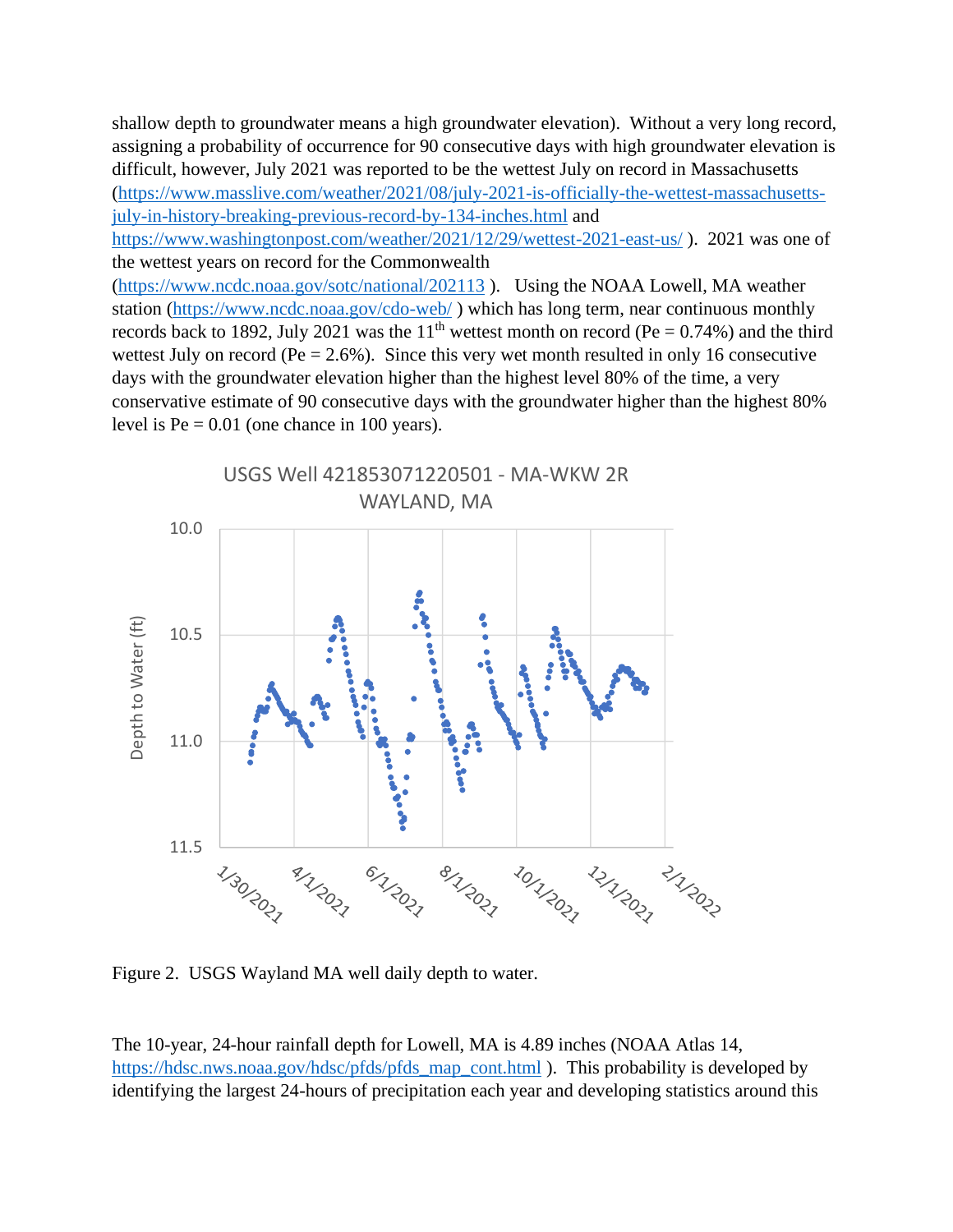shallow depth to groundwater means a high groundwater elevation). Without a very long record, assigning a probability of occurrence for 90 consecutive days with high groundwater elevation is difficult, however, July 2021 was reported to be the wettest July on record in Massachusetts [\(https://www.masslive.com/weather/2021/08/july-2021-is-officially-the-wettest-massachusetts](https://www.masslive.com/weather/2021/08/july-2021-is-officially-the-wettest-massachusetts-july-in-history-breaking-previous-record-by-134-inches.html)[july-in-history-breaking-previous-record-by-134-inches.html](https://www.masslive.com/weather/2021/08/july-2021-is-officially-the-wettest-massachusetts-july-in-history-breaking-previous-record-by-134-inches.html) and

<https://www.washingtonpost.com/weather/2021/12/29/wettest-2021-east-us/>). 2021 was one of the wettest years on record for the Commonwealth

[\(https://www.ncdc.noaa.gov/sotc/national/202113](https://www.ncdc.noaa.gov/sotc/national/202113) ). Using the NOAA Lowell, MA weather station [\(https://www.ncdc.noaa.gov/cdo-web/](https://www.ncdc.noaa.gov/cdo-web/) ) which has long term, near continuous monthly records back to 1892, July 2021 was the 11<sup>th</sup> wettest month on record (Pe =  $0.74\%$ ) and the third wettest July on record ( $Pe = 2.6\%$ ). Since this very wet month resulted in only 16 consecutive days with the groundwater elevation higher than the highest level 80% of the time, a very conservative estimate of 90 consecutive days with the groundwater higher than the highest 80% level is  $Pe = 0.01$  (one chance in 100 years).



Figure 2. USGS Wayland MA well daily depth to water.

The 10-year, 24-hour rainfall depth for Lowell, MA is 4.89 inches (NOAA Atlas 14, [https://hdsc.nws.noaa.gov/hdsc/pfds/pfds\\_map\\_cont.html](https://hdsc.nws.noaa.gov/hdsc/pfds/pfds_map_cont.html) ). This probability is developed by identifying the largest 24-hours of precipitation each year and developing statistics around this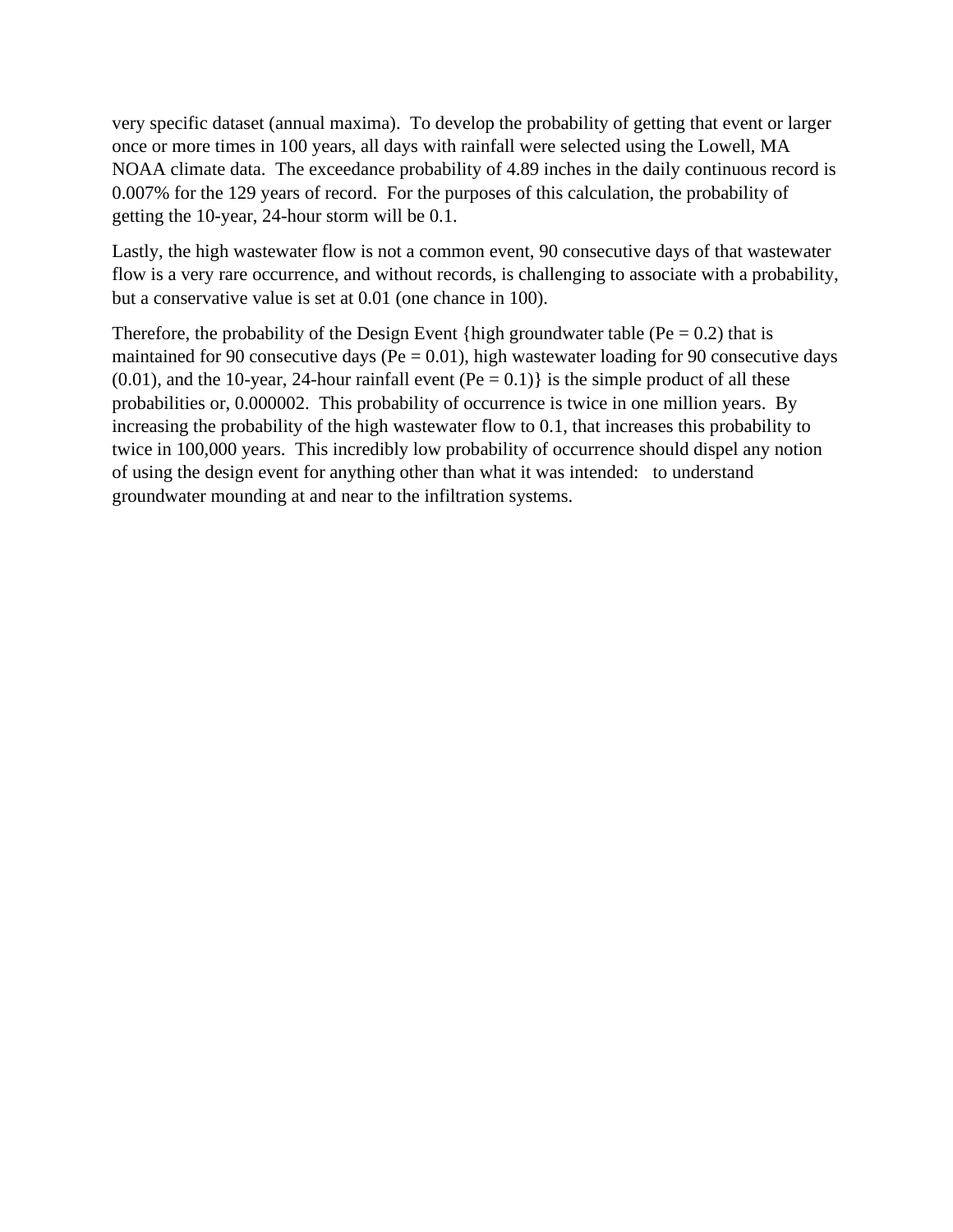very specific dataset (annual maxima). To develop the probability of getting that event or larger once or more times in 100 years, all days with rainfall were selected using the Lowell, MA NOAA climate data. The exceedance probability of 4.89 inches in the daily continuous record is 0.007% for the 129 years of record. For the purposes of this calculation, the probability of getting the 10-year, 24-hour storm will be 0.1.

Lastly, the high wastewater flow is not a common event, 90 consecutive days of that wastewater flow is a very rare occurrence, and without records, is challenging to associate with a probability, but a conservative value is set at 0.01 (one chance in 100).

Therefore, the probability of the Design Event {high groundwater table ( $Pe = 0.2$ ) that is maintained for 90 consecutive days (Pe  $= 0.01$ ), high wastewater loading for 90 consecutive days  $(0.01)$ , and the 10-year, 24-hour rainfall event  $(Pe = 0.1)$  is the simple product of all these probabilities or, 0.000002. This probability of occurrence is twice in one million years. By increasing the probability of the high wastewater flow to 0.1, that increases this probability to twice in 100,000 years. This incredibly low probability of occurrence should dispel any notion of using the design event for anything other than what it was intended: to understand groundwater mounding at and near to the infiltration systems.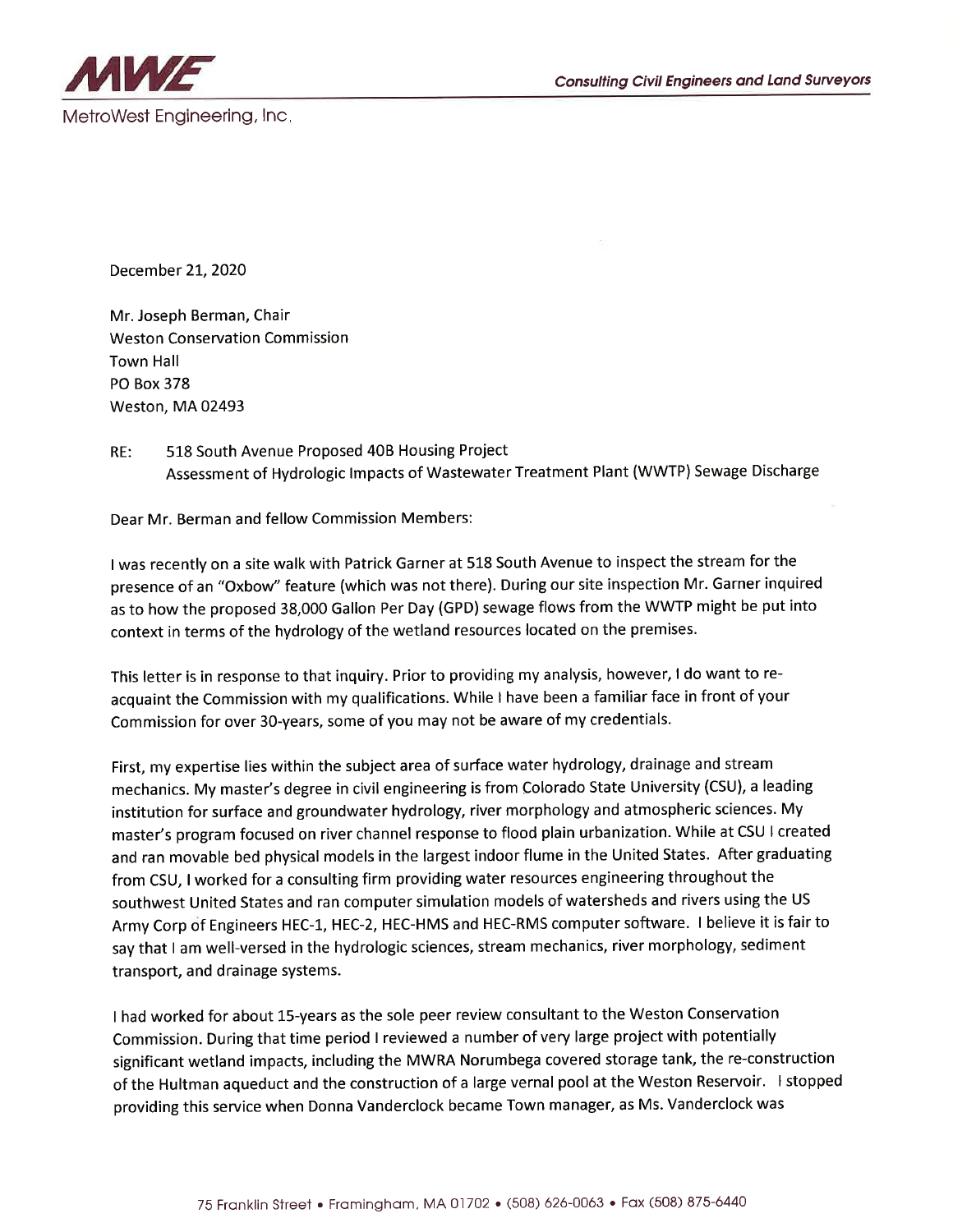

December 21, 2020

Mr. Joseph Berman, Chair **Weston Conservation Commission** Town Hall **PO Box 378** Weston, MA 02493

RE: 518 South Avenue Proposed 40B Housing Project Assessment of Hydrologic Impacts of Wastewater Treatment Plant (WWTP) Sewage Discharge

Dear Mr. Berman and fellow Commission Members:

I was recently on a site walk with Patrick Garner at 518 South Avenue to inspect the stream for the presence of an "Oxbow" feature (which was not there). During our site inspection Mr. Garner inquired as to how the proposed 38,000 Gallon Per Day (GPD) sewage flows from the WWTP might be put into context in terms of the hydrology of the wetland resources located on the premises.

This letter is in response to that inquiry. Prior to providing my analysis, however, I do want to reacquaint the Commission with my qualifications. While I have been a familiar face in front of your Commission for over 30-years, some of you may not be aware of my credentials.

First, my expertise lies within the subject area of surface water hydrology, drainage and stream mechanics. My master's degree in civil engineering is from Colorado State University (CSU), a leading institution for surface and groundwater hydrology, river morphology and atmospheric sciences. My master's program focused on river channel response to flood plain urbanization. While at CSU I created and ran movable bed physical models in the largest indoor flume in the United States. After graduating from CSU, I worked for a consulting firm providing water resources engineering throughout the southwest United States and ran computer simulation models of watersheds and rivers using the US Army Corp of Engineers HEC-1, HEC-2, HEC-HMS and HEC-RMS computer software. I believe it is fair to say that I am well-versed in the hydrologic sciences, stream mechanics, river morphology, sediment transport, and drainage systems.

I had worked for about 15-years as the sole peer review consultant to the Weston Conservation Commission. During that time period I reviewed a number of very large project with potentially significant wetland impacts, including the MWRA Norumbega covered storage tank, the re-construction of the Hultman aqueduct and the construction of a large vernal pool at the Weston Reservoir. I stopped providing this service when Donna Vanderclock became Town manager, as Ms. Vanderclock was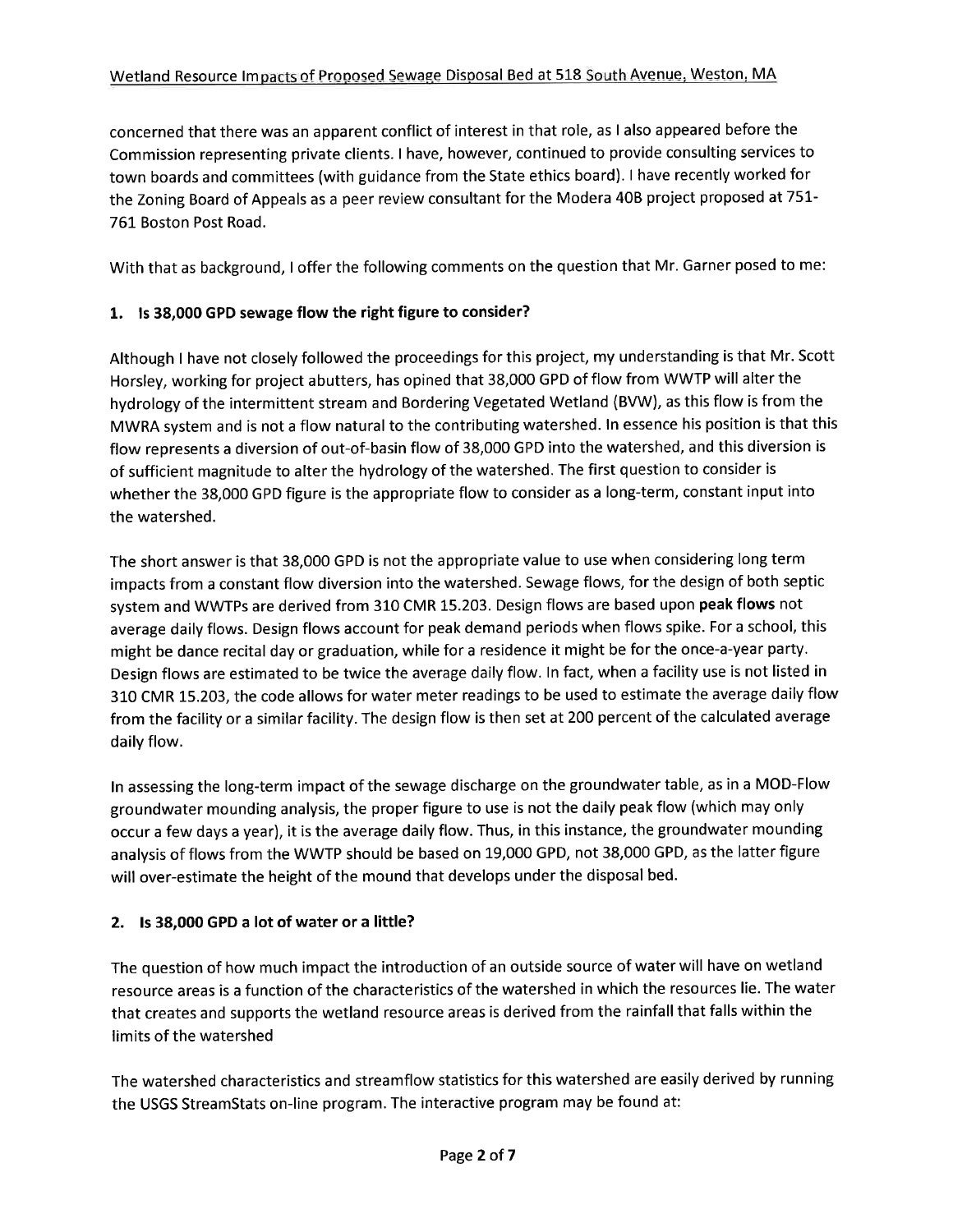concerned that there was an apparent conflict of interest in that role, as I also appeared before the Commission representing private clients. I have, however, continued to provide consulting services to town boards and committees (with guidance from the State ethics board). I have recently worked for the Zoning Board of Appeals as a peer review consultant for the Modera 40B project proposed at 751-761 Boston Post Road.

With that as background. I offer the following comments on the question that Mr. Garner posed to me:

### 1. Is 38,000 GPD sewage flow the right figure to consider?

Although I have not closely followed the proceedings for this project, my understanding is that Mr. Scott Horsley, working for project abutters, has opined that 38,000 GPD of flow from WWTP will alter the hydrology of the intermittent stream and Bordering Vegetated Wetland (BVW), as this flow is from the MWRA system and is not a flow natural to the contributing watershed. In essence his position is that this flow represents a diversion of out-of-basin flow of 38,000 GPD into the watershed, and this diversion is of sufficient magnitude to alter the hydrology of the watershed. The first question to consider is whether the 38,000 GPD figure is the appropriate flow to consider as a long-term, constant input into the watershed.

The short answer is that 38,000 GPD is not the appropriate value to use when considering long term impacts from a constant flow diversion into the watershed. Sewage flows, for the design of both septic system and WWTPs are derived from 310 CMR 15.203. Design flows are based upon peak flows not average daily flows. Design flows account for peak demand periods when flows spike. For a school, this might be dance recital day or graduation, while for a residence it might be for the once-a-year party. Design flows are estimated to be twice the average daily flow. In fact, when a facility use is not listed in 310 CMR 15.203, the code allows for water meter readings to be used to estimate the average daily flow from the facility or a similar facility. The design flow is then set at 200 percent of the calculated average daily flow.

In assessing the long-term impact of the sewage discharge on the groundwater table, as in a MOD-Flow groundwater mounding analysis, the proper figure to use is not the daily peak flow (which may only occur a few days a year), it is the average daily flow. Thus, in this instance, the groundwater mounding analysis of flows from the WWTP should be based on 19,000 GPD, not 38,000 GPD, as the latter figure will over-estimate the height of the mound that develops under the disposal bed.

### 2. Is 38,000 GPD a lot of water or a little?

The question of how much impact the introduction of an outside source of water will have on wetland resource areas is a function of the characteristics of the watershed in which the resources lie. The water that creates and supports the wetland resource areas is derived from the rainfall that falls within the limits of the watershed

The watershed characteristics and streamflow statistics for this watershed are easily derived by running the USGS StreamStats on-line program. The interactive program may be found at: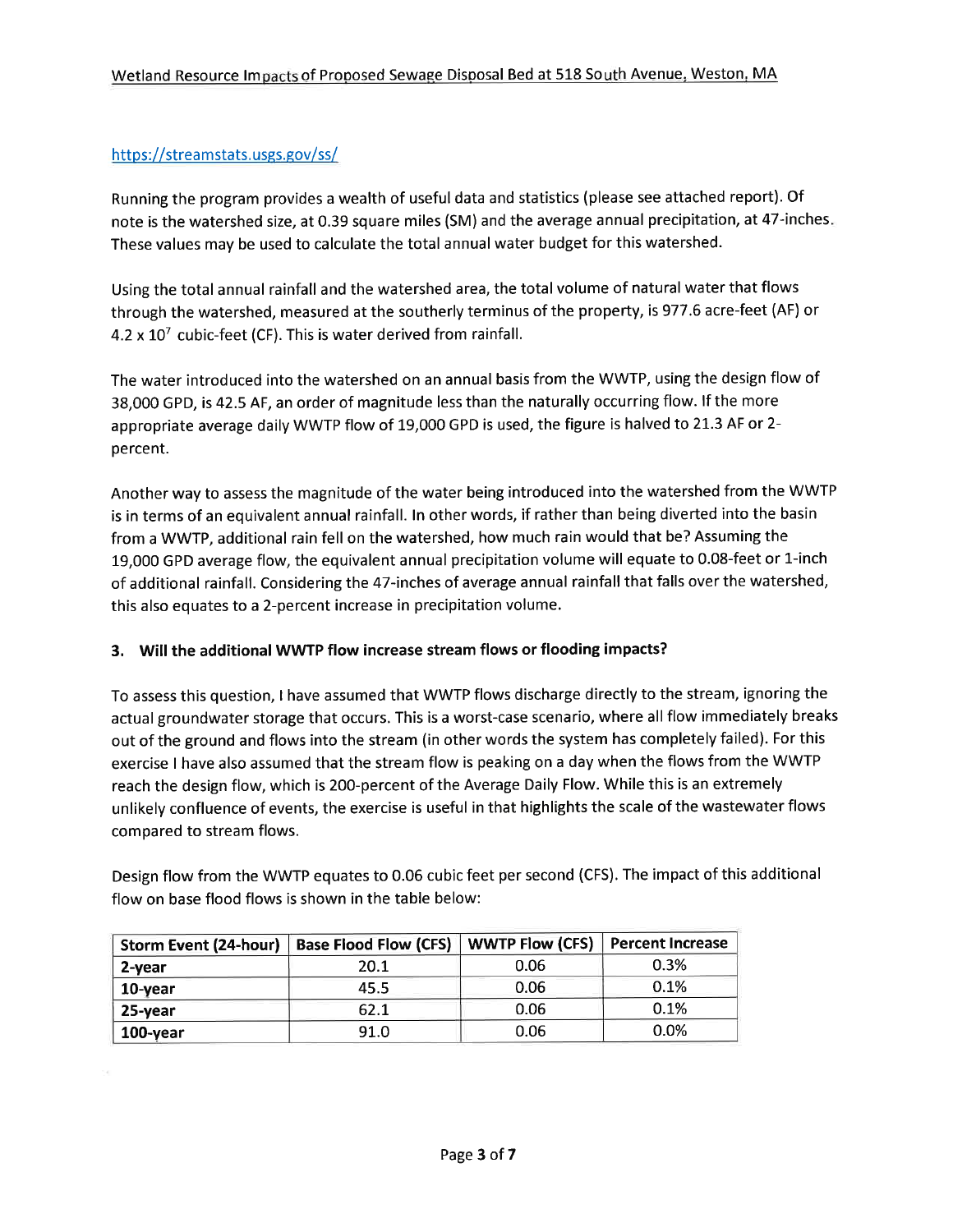### https://streamstats.usgs.gov/ss/

Running the program provides a wealth of useful data and statistics (please see attached report). Of note is the watershed size, at 0.39 square miles (SM) and the average annual precipitation, at 47-inches. These values may be used to calculate the total annual water budget for this watershed.

Using the total annual rainfall and the watershed area, the total volume of natural water that flows through the watershed, measured at the southerly terminus of the property, is 977.6 acre-feet (AF) or 4.2 x  $10^7$  cubic-feet (CF). This is water derived from rainfall.

The water introduced into the watershed on an annual basis from the WWTP, using the design flow of 38,000 GPD, is 42.5 AF, an order of magnitude less than the naturally occurring flow. If the more appropriate average daily WWTP flow of 19,000 GPD is used, the figure is halved to 21.3 AF or 2percent.

Another way to assess the magnitude of the water being introduced into the watershed from the WWTP is in terms of an equivalent annual rainfall. In other words, if rather than being diverted into the basin from a WWTP, additional rain fell on the watershed, how much rain would that be? Assuming the 19,000 GPD average flow, the equivalent annual precipitation volume will equate to 0.08-feet or 1-inch of additional rainfall. Considering the 47-inches of average annual rainfall that falls over the watershed, this also equates to a 2-percent increase in precipitation volume.

### 3. Will the additional WWTP flow increase stream flows or flooding impacts?

To assess this question, I have assumed that WWTP flows discharge directly to the stream, ignoring the actual groundwater storage that occurs. This is a worst-case scenario, where all flow immediately breaks out of the ground and flows into the stream (in other words the system has completely failed). For this exercise I have also assumed that the stream flow is peaking on a day when the flows from the WWTP reach the design flow, which is 200-percent of the Average Daily Flow. While this is an extremely unlikely confluence of events, the exercise is useful in that highlights the scale of the wastewater flows compared to stream flows.

Design flow from the WWTP equates to 0.06 cubic feet per second (CFS). The impact of this additional flow on base flood flows is shown in the table below:

| <b>Storm Event (24-hour)</b> | <b>Base Flood Flow (CFS)</b> | <b>WWTP Flow (CFS)</b> | <b>Percent Increase</b> |
|------------------------------|------------------------------|------------------------|-------------------------|
| 2-year                       | 20.1                         | 0.06                   | 0.3%                    |
| $10$ -year                   | 45.5                         | 0.06                   | 0.1%                    |
| 25-year                      | 62.1                         | 0.06                   | 0.1%                    |
| $100$ -year                  | 91.0                         | 0.06                   | $0.0\%$                 |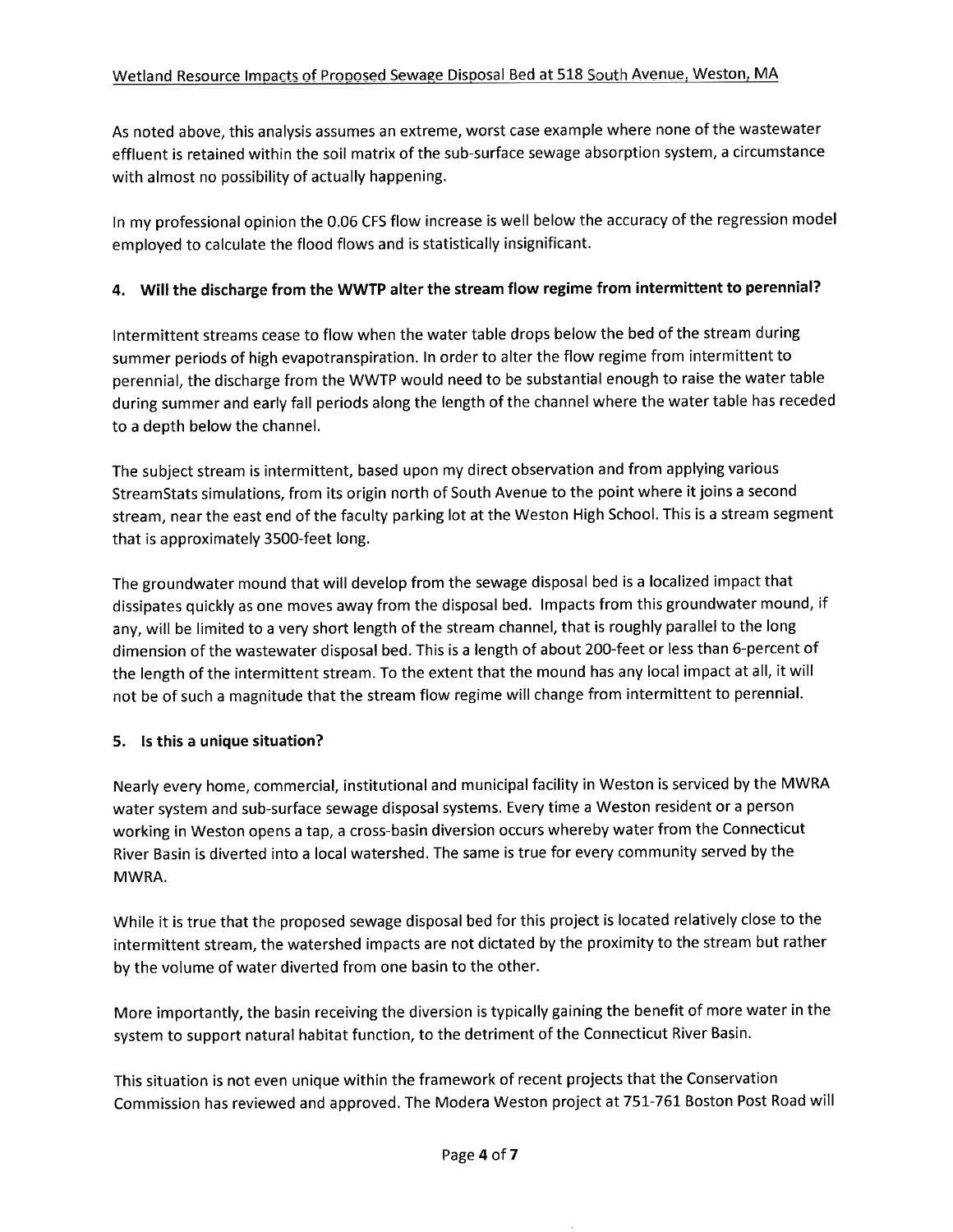As noted above, this analysis assumes an extreme, worst case example where none of the wastewater effluent is retained within the soil matrix of the sub-surface sewage absorption system, a circumstance with almost no possibility of actually happening.

In my professional opinion the 0.06 CFS flow increase is well below the accuracy of the regression model employed to calculate the flood flows and is statistically insignificant.

## 4. Will the discharge from the WWTP alter the stream flow regime from intermittent to perennial?

Intermittent streams cease to flow when the water table drops below the bed of the stream during summer periods of high evapotranspiration. In order to alter the flow regime from intermittent to perennial, the discharge from the WWTP would need to be substantial enough to raise the water table during summer and early fall periods along the length of the channel where the water table has receded to a depth below the channel.

The subject stream is intermittent, based upon my direct observation and from applying various StreamStats simulations, from its origin north of South Avenue to the point where it joins a second stream, near the east end of the faculty parking lot at the Weston High School. This is a stream segment that is approximately 3500-feet long.

The groundwater mound that will develop from the sewage disposal bed is a localized impact that dissipates quickly as one moves away from the disposal bed. Impacts from this groundwater mound, if any, will be limited to a very short length of the stream channel, that is roughly parallel to the long dimension of the wastewater disposal bed. This is a length of about 200-feet or less than 6-percent of the length of the intermittent stream. To the extent that the mound has any local impact at all, it will not be of such a magnitude that the stream flow regime will change from intermittent to perennial.

#### 5. Is this a unique situation?

Nearly every home, commercial, institutional and municipal facility in Weston is serviced by the MWRA water system and sub-surface sewage disposal systems. Every time a Weston resident or a person working in Weston opens a tap, a cross-basin diversion occurs whereby water from the Connecticut River Basin is diverted into a local watershed. The same is true for every community served by the MWRA.

While it is true that the proposed sewage disposal bed for this project is located relatively close to the intermittent stream, the watershed impacts are not dictated by the proximity to the stream but rather by the volume of water diverted from one basin to the other.

More importantly, the basin receiving the diversion is typically gaining the benefit of more water in the system to support natural habitat function, to the detriment of the Connecticut River Basin.

This situation is not even unique within the framework of recent projects that the Conservation Commission has reviewed and approved. The Modera Weston project at 751-761 Boston Post Road will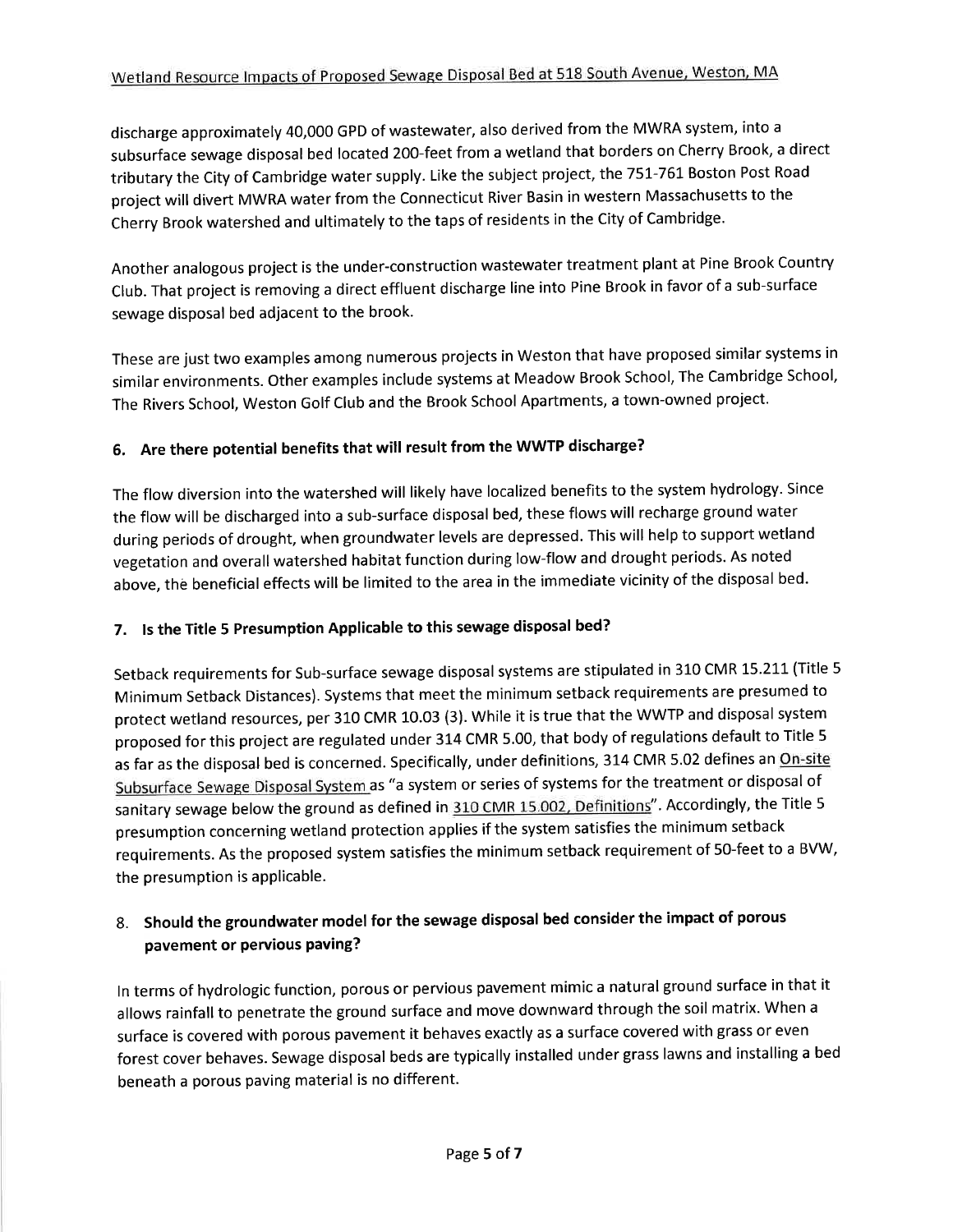discharge approximately 40,000 GPD of wastewater, also derived from the MWRA system, into a subsurface sewage disposal bed located 200-feet from a wetland that borders on Cherry Brook, a direct tributary the City of Cambridge water supply. Like the subject project, the 751-761 Boston Post Road project will divert MWRA water from the Connecticut River Basin in western Massachusetts to the Cherry Brook watershed and ultimately to the taps of residents in the City of Cambridge.

Another analogous project is the under-construction wastewater treatment plant at Pine Brook Country Club. That project is removing a direct effluent discharge line into Pine Brook in favor of a sub-surface sewage disposal bed adjacent to the brook.

These are just two examples among numerous projects in Weston that have proposed similar systems in similar environments. Other examples include systems at Meadow Brook School, The Cambridge School, The Rivers School, Weston Golf Club and the Brook School Apartments, a town-owned project.

# 6. Are there potential benefits that will result from the WWTP discharge?

The flow diversion into the watershed will likely have localized benefits to the system hydrology. Since the flow will be discharged into a sub-surface disposal bed, these flows will recharge ground water during periods of drought, when groundwater levels are depressed. This will help to support wetland vegetation and overall watershed habitat function during low-flow and drought periods. As noted above, the beneficial effects will be limited to the area in the immediate vicinity of the disposal bed.

# 7. Is the Title 5 Presumption Applicable to this sewage disposal bed?

Setback requirements for Sub-surface sewage disposal systems are stipulated in 310 CMR 15.211 (Title 5 Minimum Setback Distances). Systems that meet the minimum setback requirements are presumed to protect wetland resources, per 310 CMR 10.03 (3). While it is true that the WWTP and disposal system proposed for this project are regulated under 314 CMR 5.00, that body of regulations default to Title 5 as far as the disposal bed is concerned. Specifically, under definitions, 314 CMR 5.02 defines an On-site Subsurface Sewage Disposal System as "a system or series of systems for the treatment or disposal of sanitary sewage below the ground as defined in 310 CMR 15.002, Definitions". Accordingly, the Title 5 presumption concerning wetland protection applies if the system satisfies the minimum setback requirements. As the proposed system satisfies the minimum setback requirement of 50-feet to a BVW, the presumption is applicable.

# 8. Should the groundwater model for the sewage disposal bed consider the impact of porous pavement or pervious paving?

In terms of hydrologic function, porous or pervious pavement mimic a natural ground surface in that it allows rainfall to penetrate the ground surface and move downward through the soil matrix. When a surface is covered with porous pavement it behaves exactly as a surface covered with grass or even forest cover behaves. Sewage disposal beds are typically installed under grass lawns and installing a bed beneath a porous paving material is no different.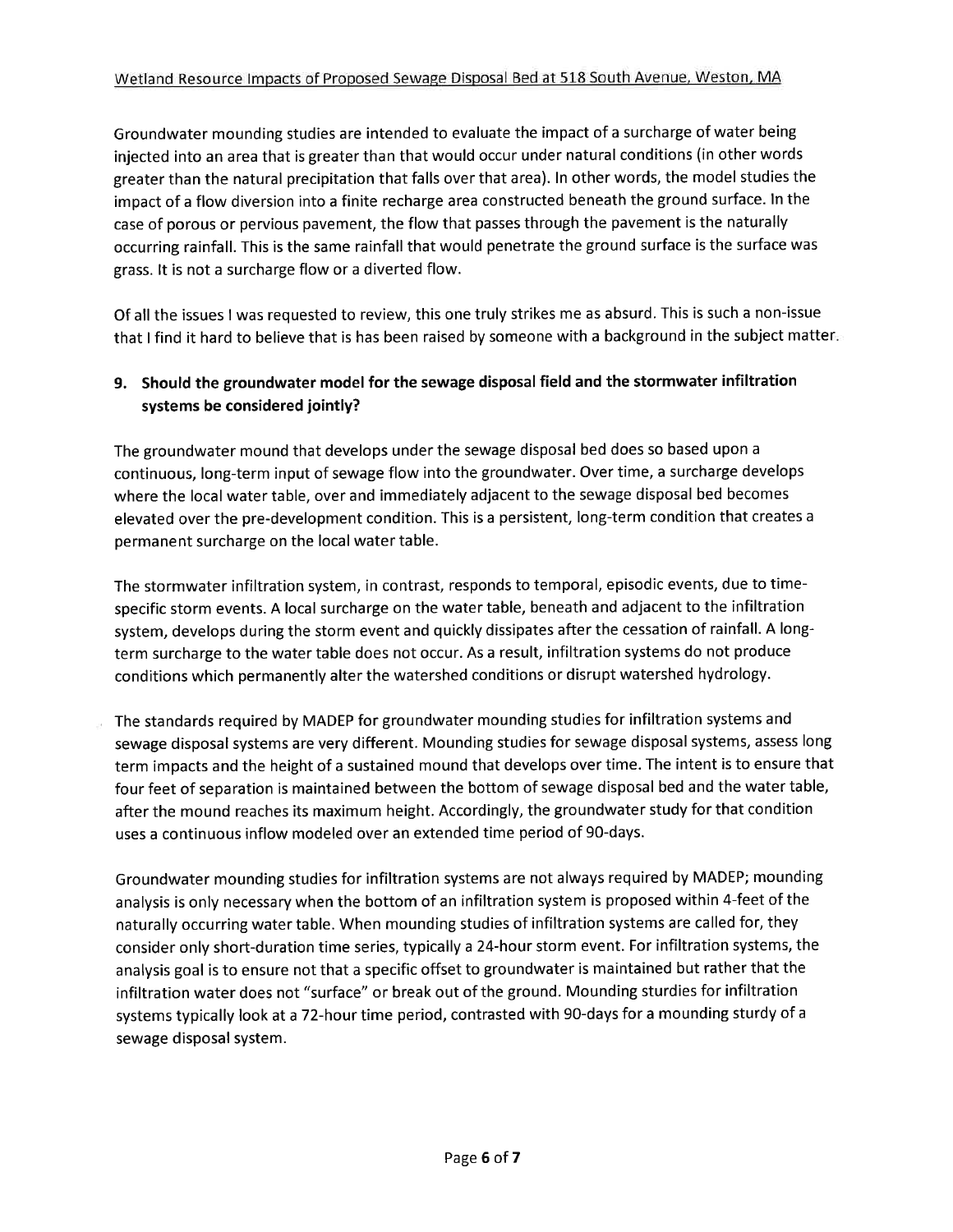Groundwater mounding studies are intended to evaluate the impact of a surcharge of water being injected into an area that is greater than that would occur under natural conditions (in other words greater than the natural precipitation that falls over that area). In other words, the model studies the impact of a flow diversion into a finite recharge area constructed beneath the ground surface. In the case of porous or pervious pavement, the flow that passes through the pavement is the naturally occurring rainfall. This is the same rainfall that would penetrate the ground surface is the surface was grass. It is not a surcharge flow or a diverted flow.

Of all the issues I was requested to review, this one truly strikes me as absurd. This is such a non-issue that I find it hard to believe that is has been raised by someone with a background in the subject matter.

## 9. Should the groundwater model for the sewage disposal field and the stormwater infiltration systems be considered jointly?

The groundwater mound that develops under the sewage disposal bed does so based upon a continuous, long-term input of sewage flow into the groundwater. Over time, a surcharge develops where the local water table, over and immediately adjacent to the sewage disposal bed becomes elevated over the pre-development condition. This is a persistent, long-term condition that creates a permanent surcharge on the local water table.

The stormwater infiltration system, in contrast, responds to temporal, episodic events, due to timespecific storm events. A local surcharge on the water table, beneath and adjacent to the infiltration system, develops during the storm event and quickly dissipates after the cessation of rainfall. A longterm surcharge to the water table does not occur. As a result, infiltration systems do not produce conditions which permanently alter the watershed conditions or disrupt watershed hydrology.

The standards required by MADEP for groundwater mounding studies for infiltration systems and sewage disposal systems are very different. Mounding studies for sewage disposal systems, assess long term impacts and the height of a sustained mound that develops over time. The intent is to ensure that four feet of separation is maintained between the bottom of sewage disposal bed and the water table, after the mound reaches its maximum height. Accordingly, the groundwater study for that condition uses a continuous inflow modeled over an extended time period of 90-days.

Groundwater mounding studies for infiltration systems are not always required by MADEP; mounding analysis is only necessary when the bottom of an infiltration system is proposed within 4-feet of the naturally occurring water table. When mounding studies of infiltration systems are called for, they consider only short-duration time series, typically a 24-hour storm event. For infiltration systems, the analysis goal is to ensure not that a specific offset to groundwater is maintained but rather that the infiltration water does not "surface" or break out of the ground. Mounding sturdies for infiltration systems typically look at a 72-hour time period, contrasted with 90-days for a mounding sturdy of a sewage disposal system.